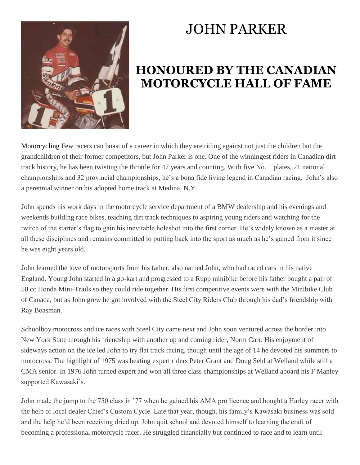

## JOHN PARKER

## **HONOURED BY THE CANADIAN MOTORCYCLE HALL OF FAME**

Motorcycling Few racers can boast of a career in which they are riding against not just the children but the grandchildren of their former competitors, but John Parker is one. One of the winningest riders in Canadian dirt track history, he has been twisting the throttle for 47 years and counting. With five No. 1 plates, 21 national championships and 32 provincial championships, he's a bona fide living legend in Canadian racing. John's also a perennial winner on his adopted home track at Medina, N.Y.

John spends his work days in the motorcycle service department of a BMW dealership and his evenings and weekends building race bikes, teaching dirt track techniques to aspiring young riders and watching for the twitch of the starter's flag to gain his inevitable holeshot into the first corner. He's widely known as a master at all these disciplines and remains committed to putting back into the sport as much as he's gained from it since he was eight years old.

John learned the love of motorsports from his father, also named John, who had raced cars in his native England. Young John started in a go-kart and progressed to a Rupp minibike before his father bought a pair of 50 cc Honda Mini-Trails so they could ride together. His first competitive events were with the Minibike Club of Canada, but as John grew he got involved with the Steel City Riders Club through his dad's friendship with Ray Boasman.

Schoolboy motocross and ice races with Steel City came next and John soon ventured across the border into New York State through his friendship with another up and coming rider, Norm Carr. His enjoyment of sideways action on the ice led John to try flat track racing, though until the age of 14 he devoted his summers to motocross. The highlight of 1975 was beating expert riders Peter Grant and Doug Sehl at Welland while still a CMA senior. In 1976 John turned expert and won all three class championships at Welland aboard his F Manley supported Kawasaki's.

John made the jump to the 750 class in '77 when he gained his AMA pro licence and bought a Harley racer with the help of local dealer Chief's Custom Cycle. Late that year, though, his family's Kawasaki business was sold and the help he'd been receiving dried up. John quit school and devoted himself to learning the craft of becoming a professional motorcycle racer. He struggled financially but continued to race and to learn until